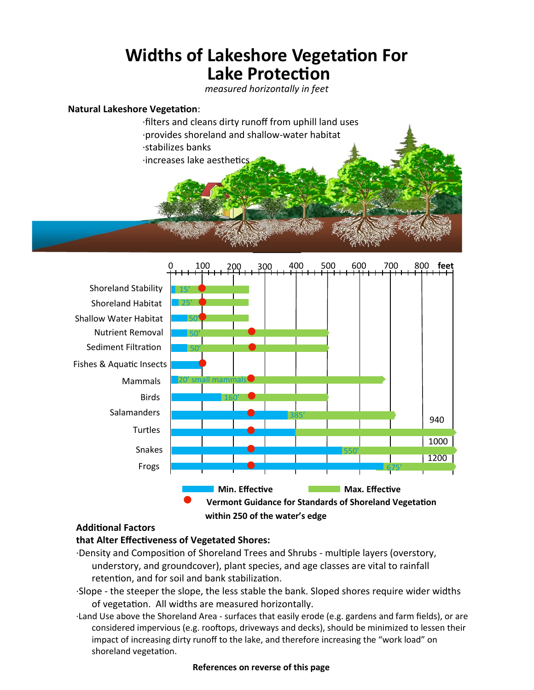# **Widths of Lakeshore Vegetation For Lake Protection**

*measured horizontally in feet*

## **Natural Lakeshore Vegetation**:

∙filters and cleans dirty runoff from uphill land uses ∙provides shoreland and shallow-water habitat ∙stabilizes banks ∙increases lake aesthetics



# **Additional Factors**

# **that Alter Effectiveness of Vegetated Shores:**

- ∙Density and Composition of Shoreland Trees and Shrubs multiple layers (overstory, understory, and groundcover), plant species, and age classes are vital to rainfall retention, and for soil and bank stabilization.
- ∙Slope the steeper the slope, the less stable the bank. Sloped shores require wider widths of vegetation. All widths are measured horizontally.
- ∙Land Use above the Shoreland Area surfaces that easily erode (e.g. gardens and farm fields), or are considered impervious (e.g. rooftops, driveways and decks), should be minimized to lessen their impact of increasing dirty runoff to the lake, and therefore increasing the "work load" on shoreland vegetation.

## **References on reverse of this page**